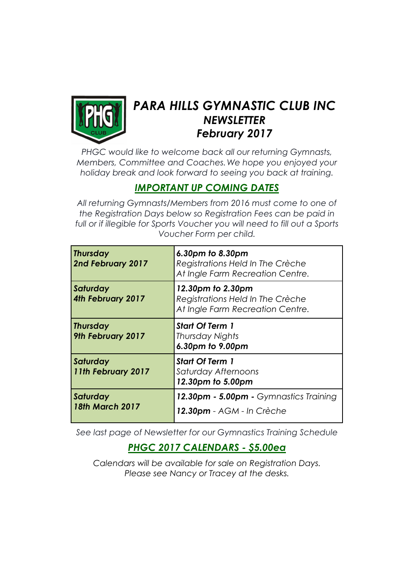

# PARA HILLS GYMNASTIC CLUB INC **NEWSLETTER** February 2017

PHGC would like to welcome back all our returning Gymnasts, Members, Committee and Coaches.We hope you enjoyed your holiday break and look forward to seeing you back at training.

# IMPORTANT UP COMING DATES

All returning Gymnasts/Members from 2016 must come to one of the Registration Days below so Registration Fees can be paid in full or if illegible for Sports Voucher you will need to fill out a Sports Voucher Form per child.

| <b>Thursday</b><br>2nd February 2017 | 6.30pm to 8.30pm<br>Registrations Held In The Crèche<br>At Ingle Farm Recreation Centre.  |
|--------------------------------------|-------------------------------------------------------------------------------------------|
| Saturday<br>4th February 2017        | 12.30pm to 2.30pm<br>Registrations Held In The Crèche<br>At Ingle Farm Recreation Centre. |
| <b>Thursday</b><br>9th February 2017 | <b>Start Of Term 1</b><br>Thursday Nights<br>6.30pm to 9.00pm                             |
| Saturday<br>11th February 2017       | <b>Start Of Term 1</b><br>Saturday Afternoons<br>12.30pm to 5.00pm                        |
| Saturday<br><b>18th March 2017</b>   | 12.30pm - 5.00pm - Gymnastics Training<br>12.30pm - AGM - In Crèche                       |

See last page of Newsletter for our Gymnastics Training Schedule

## PHGC 2017 CALENDARS - \$5.00ea

Calendars will be available for sale on Registration Days. Please see Nancy or Tracey at the desks.